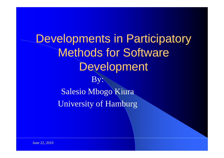Developments in Participatory Methods for Software Development By: Salesio Mbogo Kiura University of Hamburg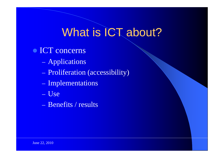# What is ICT about?

- ICT concerns
	- Applications
	- Proliferation (accessibility)
	- Implementations
	- Use
	- Benefits / results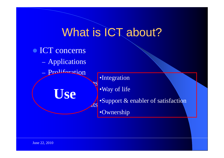## What is ICT about?

• ICT concerns Applications Proliferation Implementations Use way of life

•Integration

 $\log$  •Support & enabler of satisfaction

•Ownershi p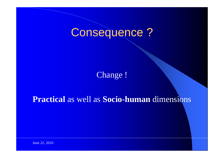## Consequence ?

Chan ge !

#### **Practical** as well as **Socio-human** dimensions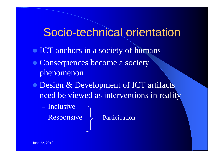#### Socio-technical orientation

- ICT anchors in a society of humans
- Consequences become a society phenomenon
- Design & Development of ICT artifacts need be viewed as interventions in reality
	- Inclusive
	- $-$  Responsive  $\left.\right\}$  Participation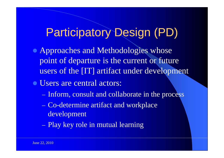## Participatory Design (PD)

- Approaches and Methodologies whose point of departure is the current or future users of the [IT] artifact under development
- Users are central actors:
	- Inform, consult and collaborate in the process
	- Co-determine artifact and workplace development
	- Play key role in mutual learning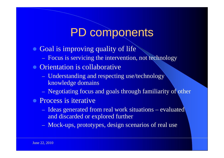## PD components

- Goal is improving quality of life
	- Focus is servicing the intervention, not technology
- Orientation is collaborative
	- Understanding and respecting use/technology knowledge domains
	- Negotiating focus and goals through familiarity of other
- Process is iterative
	- Ideas generated from real work situations evaluated and discarded or explored further
	- Mock-ups, prototypes, design scenarios of real use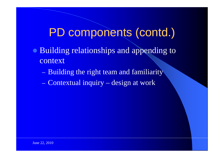#### PD components (contd.)

- Building relationships and appending to context
	- Building the right team and familiarity
	- Contextual inquiry  $\mathcal{L}_{\mathcal{A}}$ design at work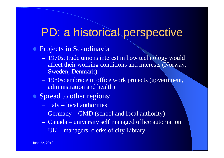## PD: a historical perspective

- **Projects in Scandinavia** 
	- 1970s: trade unions interest in how technology would affect their working conditions and interests (Norway, Sweden, Denmark)
	- 1980s: embrace in office work projects (government, administration and health)
- Spread to other regions:
	- Italy local authorities
	- Germany – GMD (school and local authority)\_
	- Canada university self managed office automation
	- UK managers, clerks of city Library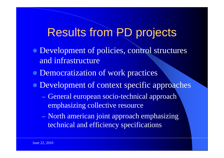## Results from PD projects

- Development of policies, control structures and infrastructure
- Democratization of work practices
- Development of context specific approaches
	- General european socio-technical approach emphasizing collective resource
	- North american joint approach emphasizing technical and efficiency specifications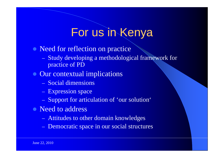## For us in Kenya

- Need for reflection on practice
	- Study developing a methodological framework for practice of PD
- Our contextual implications
	- Social dimensions
	- Expression space
	- Support for articulation of 'our solution'
- Need to address
	- Attitudes to other domain knowledges
	- Democratic space in our social structures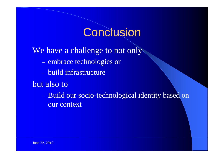#### **Conclusion**

We have a challenge to not only

- embrace technologies or
- build infrastructure
- but also to

– Build our socio-technological identity based on our context